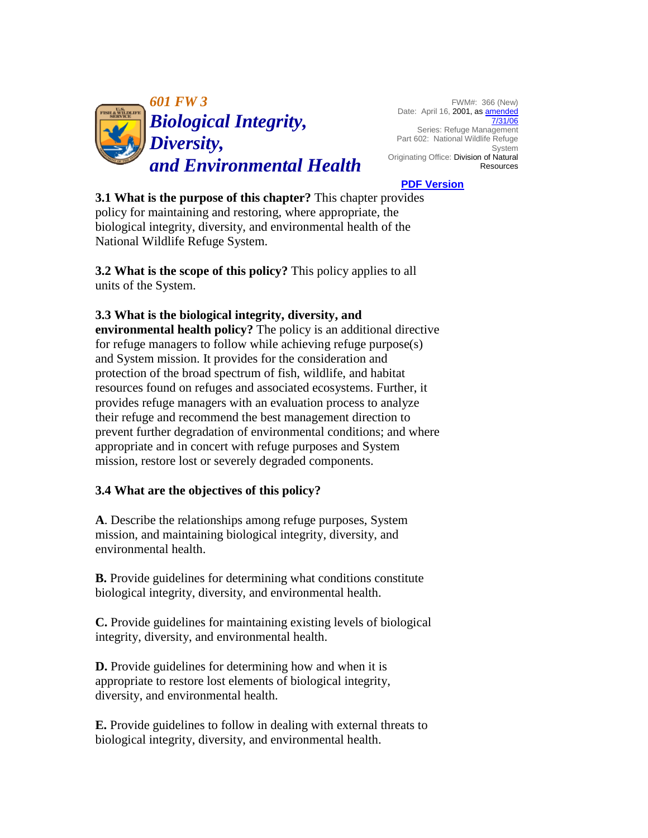

FWM#: 366 (New) Date: April 16, 2001, as **amended** [7/31/06](https://www.fws.gov/policy/a1601fw3.html) Series: Refuge Management Part 602: National Wildlife Refuge System Originating Office: Division of Natural **Resources** 

### **[PDF Version](https://www.fws.gov/policy/601fw3.pdf)**

**3.1 What is the purpose of this chapter?** This chapter provides policy for maintaining and restoring, where appropriate, the biological integrity, diversity, and environmental health of the National Wildlife Refuge System.

**3.2 What is the scope of this policy?** This policy applies to all units of the System.

### **3.3 What is the biological integrity, diversity, and**

**environmental health policy?** The policy is an additional directive for refuge managers to follow while achieving refuge purpose(s) and System mission. It provides for the consideration and protection of the broad spectrum of fish, wildlife, and habitat resources found on refuges and associated ecosystems. Further, it provides refuge managers with an evaluation process to analyze their refuge and recommend the best management direction to prevent further degradation of environmental conditions; and where appropriate and in concert with refuge purposes and System mission, restore lost or severely degraded components.

### **3.4 What are the objectives of this policy?**

**A**. Describe the relationships among refuge purposes, System mission, and maintaining biological integrity, diversity, and environmental health.

**B.** Provide guidelines for determining what conditions constitute biological integrity, diversity, and environmental health.

**C.** Provide guidelines for maintaining existing levels of biological integrity, diversity, and environmental health.

**D.** Provide guidelines for determining how and when it is appropriate to restore lost elements of biological integrity, diversity, and environmental health.

**E.** Provide guidelines to follow in dealing with external threats to biological integrity, diversity, and environmental health.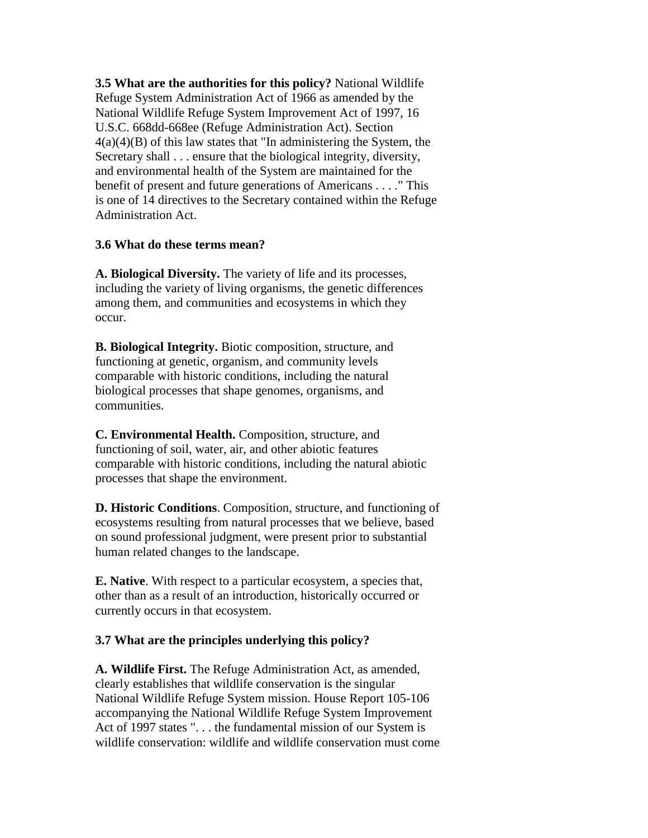**3.5 What are the authorities for this policy?** National Wildlife Refuge System Administration Act of 1966 as amended by the National Wildlife Refuge System Improvement Act of 1997, 16 U.S.C. 668dd-668ee (Refuge Administration Act). Section  $4(a)(4)(B)$  of this law states that "In administering the System, the Secretary shall . . . ensure that the biological integrity, diversity, and environmental health of the System are maintained for the benefit of present and future generations of Americans . . . ." This is one of 14 directives to the Secretary contained within the Refuge Administration Act.

## **3.6 What do these terms mean?**

**A. Biological Diversity.** The variety of life and its processes, including the variety of living organisms, the genetic differences among them, and communities and ecosystems in which they occur.

**B. Biological Integrity.** Biotic composition, structure, and functioning at genetic, organism, and community levels comparable with historic conditions, including the natural biological processes that shape genomes, organisms, and communities.

**C. Environmental Health.** Composition, structure, and functioning of soil, water, air, and other abiotic features comparable with historic conditions, including the natural abiotic processes that shape the environment.

**D. Historic Conditions**. Composition, structure, and functioning of ecosystems resulting from natural processes that we believe, based on sound professional judgment, were present prior to substantial human related changes to the landscape.

**E. Native**. With respect to a particular ecosystem, a species that, other than as a result of an introduction, historically occurred or currently occurs in that ecosystem.

# **3.7 What are the principles underlying this policy?**

**A. Wildlife First.** The Refuge Administration Act, as amended, clearly establishes that wildlife conservation is the singular National Wildlife Refuge System mission. House Report 105-106 accompanying the National Wildlife Refuge System Improvement Act of 1997 states "... the fundamental mission of our System is wildlife conservation: wildlife and wildlife conservation must come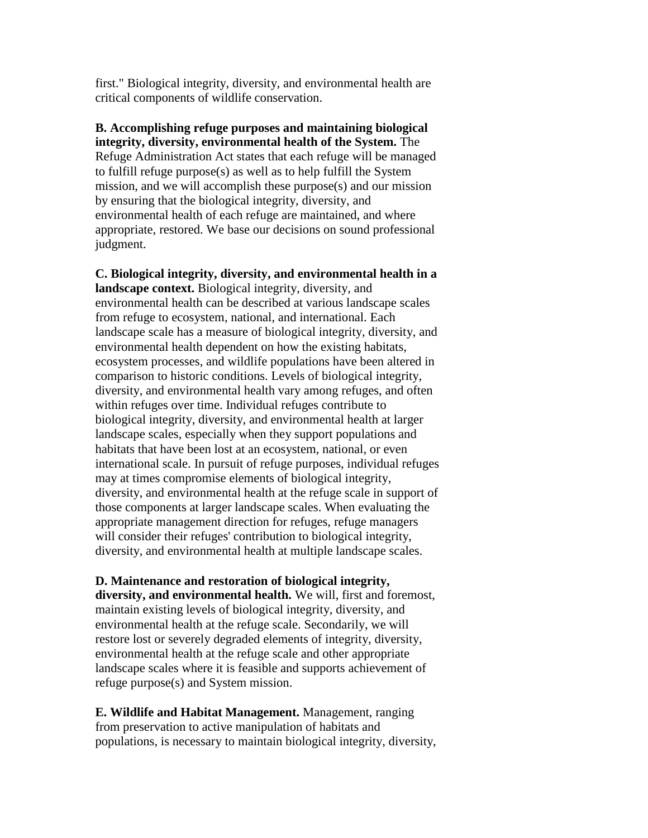first." Biological integrity, diversity, and environmental health are critical components of wildlife conservation.

**B. Accomplishing refuge purposes and maintaining biological integrity, diversity, environmental health of the System.** The Refuge Administration Act states that each refuge will be managed to fulfill refuge purpose(s) as well as to help fulfill the System mission, and we will accomplish these purpose(s) and our mission by ensuring that the biological integrity, diversity, and environmental health of each refuge are maintained, and where appropriate, restored. We base our decisions on sound professional judgment.

**C. Biological integrity, diversity, and environmental health in a landscape context.** Biological integrity, diversity, and environmental health can be described at various landscape scales from refuge to ecosystem, national, and international. Each landscape scale has a measure of biological integrity, diversity, and environmental health dependent on how the existing habitats, ecosystem processes, and wildlife populations have been altered in comparison to historic conditions. Levels of biological integrity, diversity, and environmental health vary among refuges, and often within refuges over time. Individual refuges contribute to biological integrity, diversity, and environmental health at larger landscape scales, especially when they support populations and habitats that have been lost at an ecosystem, national, or even international scale. In pursuit of refuge purposes, individual refuges may at times compromise elements of biological integrity, diversity, and environmental health at the refuge scale in support of those components at larger landscape scales. When evaluating the appropriate management direction for refuges, refuge managers will consider their refuges' contribution to biological integrity, diversity, and environmental health at multiple landscape scales.

**D. Maintenance and restoration of biological integrity, diversity, and environmental health.** We will, first and foremost, maintain existing levels of biological integrity, diversity, and environmental health at the refuge scale. Secondarily, we will restore lost or severely degraded elements of integrity, diversity, environmental health at the refuge scale and other appropriate landscape scales where it is feasible and supports achievement of refuge purpose(s) and System mission.

**E. Wildlife and Habitat Management.** Management, ranging from preservation to active manipulation of habitats and populations, is necessary to maintain biological integrity, diversity,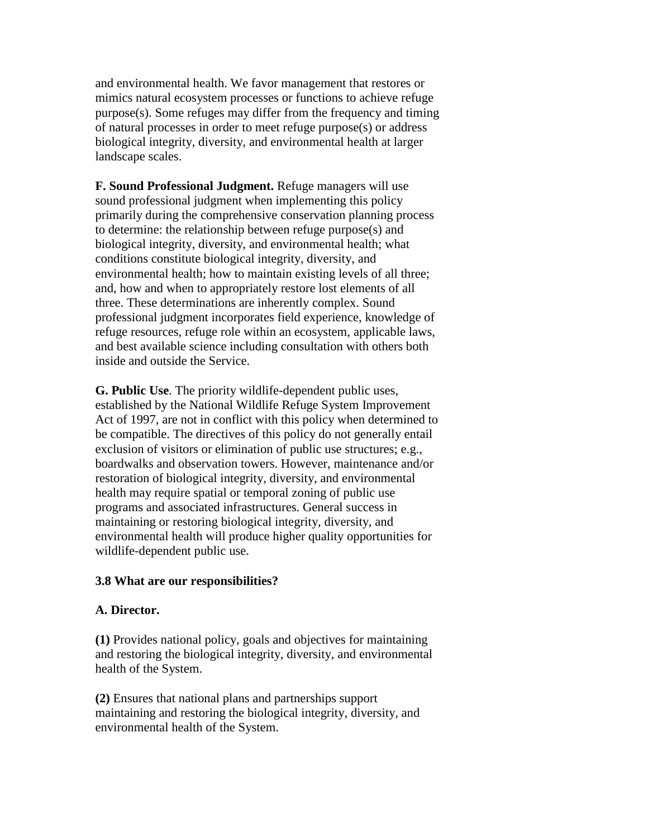and environmental health. We favor management that restores or mimics natural ecosystem processes or functions to achieve refuge purpose(s). Some refuges may differ from the frequency and timing of natural processes in order to meet refuge purpose(s) or address biological integrity, diversity, and environmental health at larger landscape scales.

**F. Sound Professional Judgment.** Refuge managers will use sound professional judgment when implementing this policy primarily during the comprehensive conservation planning process to determine: the relationship between refuge purpose(s) and biological integrity, diversity, and environmental health; what conditions constitute biological integrity, diversity, and environmental health; how to maintain existing levels of all three; and, how and when to appropriately restore lost elements of all three. These determinations are inherently complex. Sound professional judgment incorporates field experience, knowledge of refuge resources, refuge role within an ecosystem, applicable laws, and best available science including consultation with others both inside and outside the Service.

**G. Public Use**. The priority wildlife-dependent public uses, established by the National Wildlife Refuge System Improvement Act of 1997, are not in conflict with this policy when determined to be compatible. The directives of this policy do not generally entail exclusion of visitors or elimination of public use structures; e.g., boardwalks and observation towers. However, maintenance and/or restoration of biological integrity, diversity, and environmental health may require spatial or temporal zoning of public use programs and associated infrastructures. General success in maintaining or restoring biological integrity, diversity, and environmental health will produce higher quality opportunities for wildlife-dependent public use.

### **3.8 What are our responsibilities?**

### **A. Director.**

**(1)** Provides national policy, goals and objectives for maintaining and restoring the biological integrity, diversity, and environmental health of the System.

**(2)** Ensures that national plans and partnerships support maintaining and restoring the biological integrity, diversity, and environmental health of the System.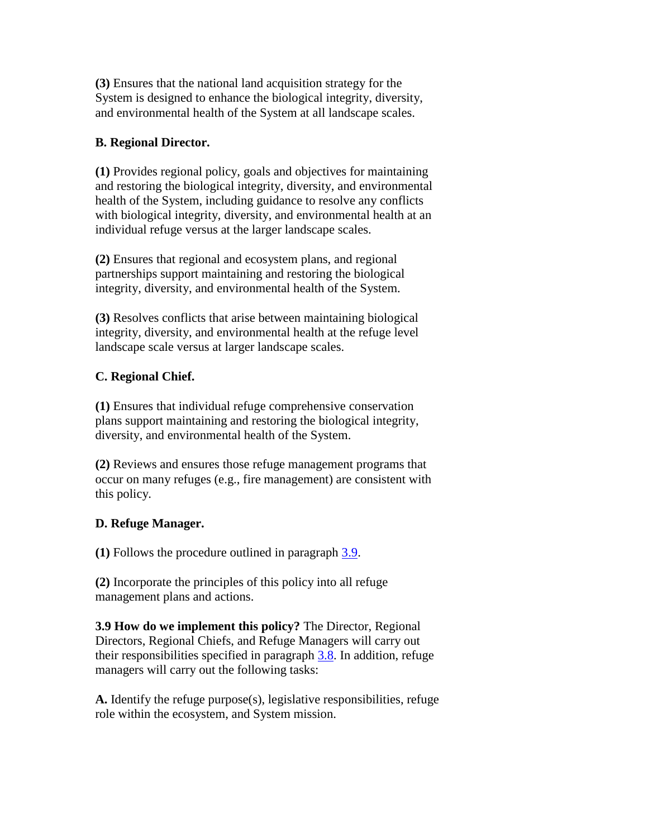**(3)** Ensures that the national land acquisition strategy for the System is designed to enhance the biological integrity, diversity, and environmental health of the System at all landscape scales.

# **B. Regional Director.**

**(1)** Provides regional policy, goals and objectives for maintaining and restoring the biological integrity, diversity, and environmental health of the System, including guidance to resolve any conflicts with biological integrity, diversity, and environmental health at an individual refuge versus at the larger landscape scales.

**(2)** Ensures that regional and ecosystem plans, and regional partnerships support maintaining and restoring the biological integrity, diversity, and environmental health of the System.

**(3)** Resolves conflicts that arise between maintaining biological integrity, diversity, and environmental health at the refuge level landscape scale versus at larger landscape scales.

# **C. Regional Chief.**

**(1)** Ensures that individual refuge comprehensive conservation plans support maintaining and restoring the biological integrity, diversity, and environmental health of the System.

**(2)** Reviews and ensures those refuge management programs that occur on many refuges (e.g., fire management) are consistent with this policy.

# **D. Refuge Manager.**

**(1)** Follows the procedure outlined in paragraph [3.9.](https://www.fws.gov/policy/601fw3.html#3.9)

**(2)** Incorporate the principles of this policy into all refuge management plans and actions.

**3.9 How do we implement this policy?** The Director, Regional Directors, Regional Chiefs, and Refuge Managers will carry out their responsibilities specified in paragraph [3.8.](https://www.fws.gov/policy/601fw3.html#3.8) In addition, refuge managers will carry out the following tasks:

**A.** Identify the refuge purpose(s), legislative responsibilities, refuge role within the ecosystem, and System mission.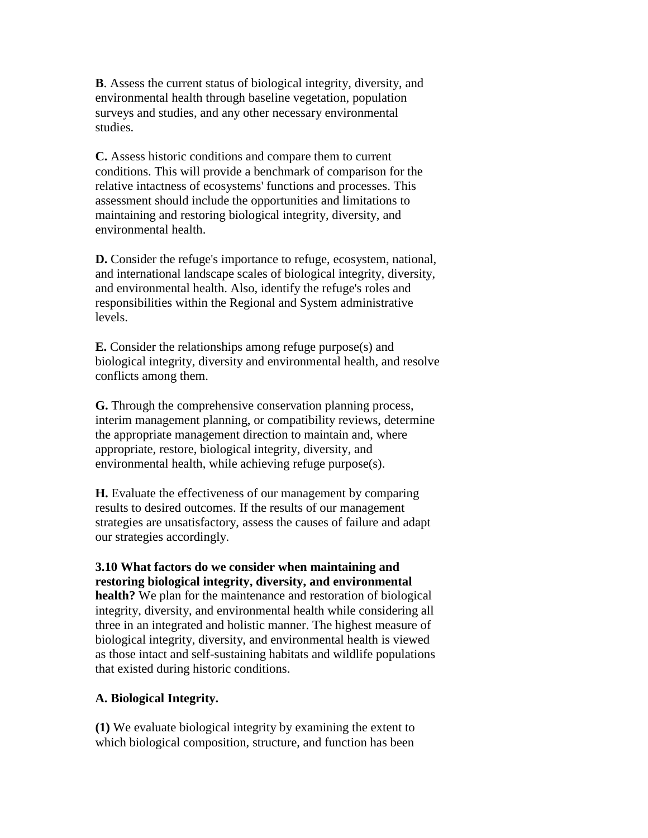**B**. Assess the current status of biological integrity, diversity, and environmental health through baseline vegetation, population surveys and studies, and any other necessary environmental studies.

**C.** Assess historic conditions and compare them to current conditions. This will provide a benchmark of comparison for the relative intactness of ecosystems' functions and processes. This assessment should include the opportunities and limitations to maintaining and restoring biological integrity, diversity, and environmental health.

**D.** Consider the refuge's importance to refuge, ecosystem, national, and international landscape scales of biological integrity, diversity, and environmental health. Also, identify the refuge's roles and responsibilities within the Regional and System administrative levels.

**E.** Consider the relationships among refuge purpose(s) and biological integrity, diversity and environmental health, and resolve conflicts among them.

**G.** Through the comprehensive conservation planning process, interim management planning, or compatibility reviews, determine the appropriate management direction to maintain and, where appropriate, restore, biological integrity, diversity, and environmental health, while achieving refuge purpose(s).

**H.** Evaluate the effectiveness of our management by comparing results to desired outcomes. If the results of our management strategies are unsatisfactory, assess the causes of failure and adapt our strategies accordingly.

**3.10 What factors do we consider when maintaining and restoring biological integrity, diversity, and environmental health?** We plan for the maintenance and restoration of biological integrity, diversity, and environmental health while considering all three in an integrated and holistic manner. The highest measure of biological integrity, diversity, and environmental health is viewed as those intact and self-sustaining habitats and wildlife populations that existed during historic conditions.

### **A. Biological Integrity.**

**(1)** We evaluate biological integrity by examining the extent to which biological composition, structure, and function has been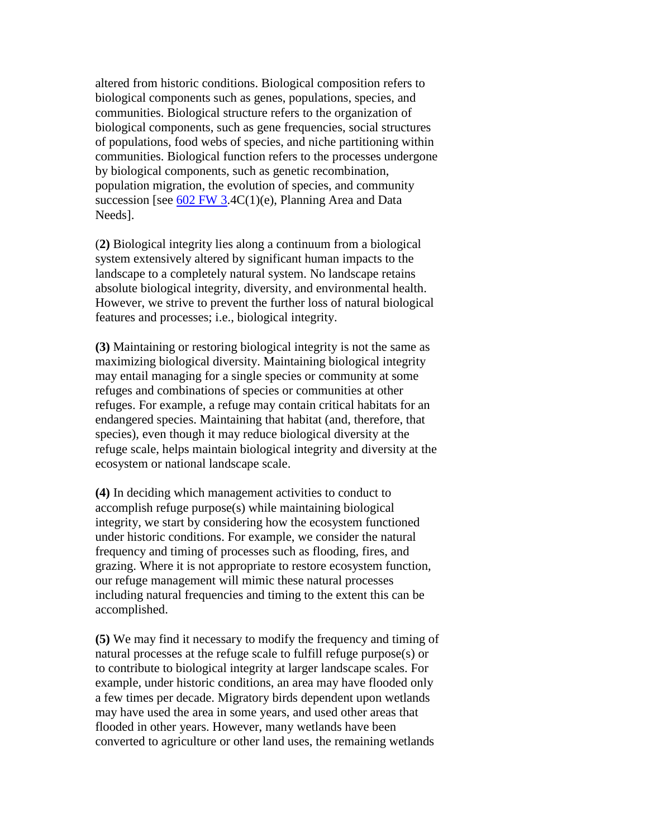altered from historic conditions. Biological composition refers to biological components such as genes, populations, species, and communities. Biological structure refers to the organization of biological components, such as gene frequencies, social structures of populations, food webs of species, and niche partitioning within communities. Biological function refers to the processes undergone by biological components, such as genetic recombination, population migration, the evolution of species, and community succession [see  $602$  FW 3.4C(1)(e), Planning Area and Data Needs].

(**2)** Biological integrity lies along a continuum from a biological system extensively altered by significant human impacts to the landscape to a completely natural system. No landscape retains absolute biological integrity, diversity, and environmental health. However, we strive to prevent the further loss of natural biological features and processes; i.e., biological integrity.

**(3)** Maintaining or restoring biological integrity is not the same as maximizing biological diversity. Maintaining biological integrity may entail managing for a single species or community at some refuges and combinations of species or communities at other refuges. For example, a refuge may contain critical habitats for an endangered species. Maintaining that habitat (and, therefore, that species), even though it may reduce biological diversity at the refuge scale, helps maintain biological integrity and diversity at the ecosystem or national landscape scale.

**(4)** In deciding which management activities to conduct to accomplish refuge purpose(s) while maintaining biological integrity, we start by considering how the ecosystem functioned under historic conditions. For example, we consider the natural frequency and timing of processes such as flooding, fires, and grazing. Where it is not appropriate to restore ecosystem function, our refuge management will mimic these natural processes including natural frequencies and timing to the extent this can be accomplished.

**(5)** We may find it necessary to modify the frequency and timing of natural processes at the refuge scale to fulfill refuge purpose(s) or to contribute to biological integrity at larger landscape scales. For example, under historic conditions, an area may have flooded only a few times per decade. Migratory birds dependent upon wetlands may have used the area in some years, and used other areas that flooded in other years. However, many wetlands have been converted to agriculture or other land uses, the remaining wetlands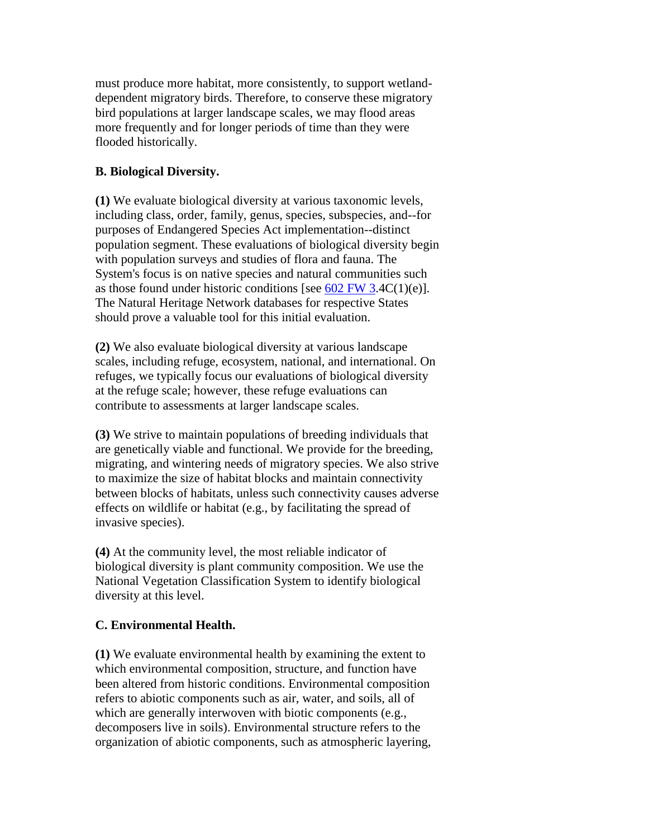must produce more habitat, more consistently, to support wetlanddependent migratory birds. Therefore, to conserve these migratory bird populations at larger landscape scales, we may flood areas more frequently and for longer periods of time than they were flooded historically.

# **B. Biological Diversity.**

**(1)** We evaluate biological diversity at various taxonomic levels, including class, order, family, genus, species, subspecies, and--for purposes of Endangered Species Act implementation--distinct population segment. These evaluations of biological diversity begin with population surveys and studies of flora and fauna. The System's focus is on native species and natural communities such as those found under historic conditions [see  $602$  FW 3.4C(1)(e)]. The Natural Heritage Network databases for respective States should prove a valuable tool for this initial evaluation.

**(2)** We also evaluate biological diversity at various landscape scales, including refuge, ecosystem, national, and international. On refuges, we typically focus our evaluations of biological diversity at the refuge scale; however, these refuge evaluations can contribute to assessments at larger landscape scales.

**(3)** We strive to maintain populations of breeding individuals that are genetically viable and functional. We provide for the breeding, migrating, and wintering needs of migratory species. We also strive to maximize the size of habitat blocks and maintain connectivity between blocks of habitats, unless such connectivity causes adverse effects on wildlife or habitat (e.g., by facilitating the spread of invasive species).

**(4)** At the community level, the most reliable indicator of biological diversity is plant community composition. We use the National Vegetation Classification System to identify biological diversity at this level.

# **C. Environmental Health.**

**(1)** We evaluate environmental health by examining the extent to which environmental composition, structure, and function have been altered from historic conditions. Environmental composition refers to abiotic components such as air, water, and soils, all of which are generally interwoven with biotic components (e.g., decomposers live in soils). Environmental structure refers to the organization of abiotic components, such as atmospheric layering,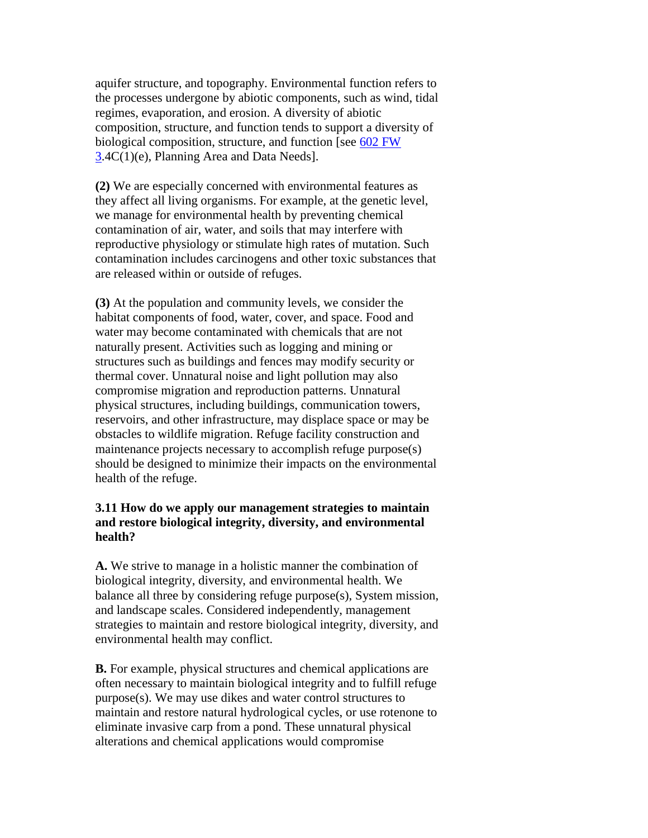aquifer structure, and topography. Environmental function refers to the processes undergone by abiotic components, such as wind, tidal regimes, evaporation, and erosion. A diversity of abiotic composition, structure, and function tends to support a diversity of biological composition, structure, and function [see [602 FW](https://www.fws.gov/policy/602fw3.html)  [3.](https://www.fws.gov/policy/602fw3.html)4C(1)(e), Planning Area and Data Needs].

**(2)** We are especially concerned with environmental features as they affect all living organisms. For example, at the genetic level, we manage for environmental health by preventing chemical contamination of air, water, and soils that may interfere with reproductive physiology or stimulate high rates of mutation. Such contamination includes carcinogens and other toxic substances that are released within or outside of refuges.

**(3)** At the population and community levels, we consider the habitat components of food, water, cover, and space. Food and water may become contaminated with chemicals that are not naturally present. Activities such as logging and mining or structures such as buildings and fences may modify security or thermal cover. Unnatural noise and light pollution may also compromise migration and reproduction patterns. Unnatural physical structures, including buildings, communication towers, reservoirs, and other infrastructure, may displace space or may be obstacles to wildlife migration. Refuge facility construction and maintenance projects necessary to accomplish refuge purpose(s) should be designed to minimize their impacts on the environmental health of the refuge.

## **3.11 How do we apply our management strategies to maintain and restore biological integrity, diversity, and environmental health?**

**A.** We strive to manage in a holistic manner the combination of biological integrity, diversity, and environmental health. We balance all three by considering refuge purpose(s), System mission, and landscape scales. Considered independently, management strategies to maintain and restore biological integrity, diversity, and environmental health may conflict.

**B.** For example, physical structures and chemical applications are often necessary to maintain biological integrity and to fulfill refuge purpose(s). We may use dikes and water control structures to maintain and restore natural hydrological cycles, or use rotenone to eliminate invasive carp from a pond. These unnatural physical alterations and chemical applications would compromise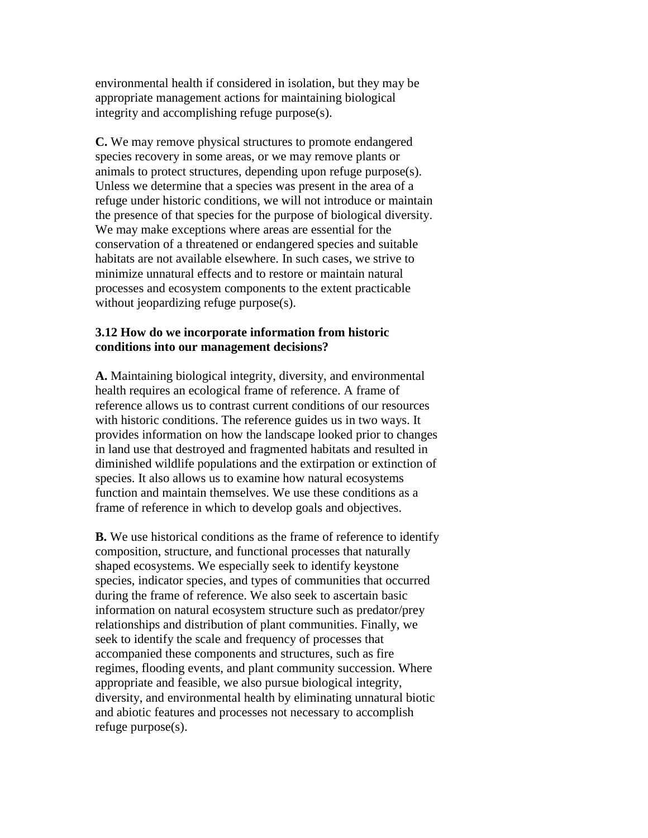environmental health if considered in isolation, but they may be appropriate management actions for maintaining biological integrity and accomplishing refuge purpose(s).

**C.** We may remove physical structures to promote endangered species recovery in some areas, or we may remove plants or animals to protect structures, depending upon refuge purpose(s). Unless we determine that a species was present in the area of a refuge under historic conditions, we will not introduce or maintain the presence of that species for the purpose of biological diversity. We may make exceptions where areas are essential for the conservation of a threatened or endangered species and suitable habitats are not available elsewhere. In such cases, we strive to minimize unnatural effects and to restore or maintain natural processes and ecosystem components to the extent practicable without jeopardizing refuge purpose(s).

### **3.12 How do we incorporate information from historic conditions into our management decisions?**

**A.** Maintaining biological integrity, diversity, and environmental health requires an ecological frame of reference. A frame of reference allows us to contrast current conditions of our resources with historic conditions. The reference guides us in two ways. It provides information on how the landscape looked prior to changes in land use that destroyed and fragmented habitats and resulted in diminished wildlife populations and the extirpation or extinction of species. It also allows us to examine how natural ecosystems function and maintain themselves. We use these conditions as a frame of reference in which to develop goals and objectives.

**B.** We use historical conditions as the frame of reference to identify composition, structure, and functional processes that naturally shaped ecosystems. We especially seek to identify keystone species, indicator species, and types of communities that occurred during the frame of reference. We also seek to ascertain basic information on natural ecosystem structure such as predator/prey relationships and distribution of plant communities. Finally, we seek to identify the scale and frequency of processes that accompanied these components and structures, such as fire regimes, flooding events, and plant community succession. Where appropriate and feasible, we also pursue biological integrity, diversity, and environmental health by eliminating unnatural biotic and abiotic features and processes not necessary to accomplish refuge purpose(s).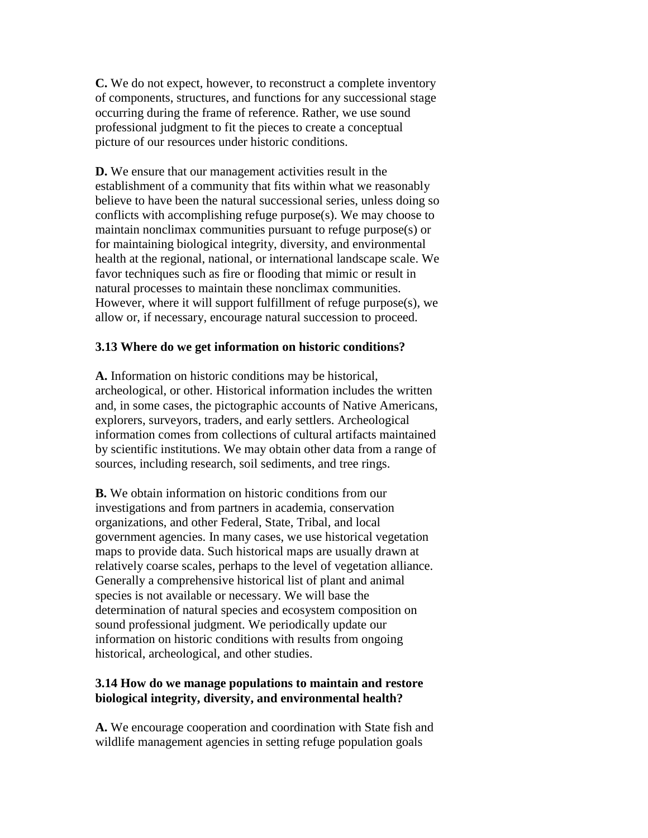**C.** We do not expect, however, to reconstruct a complete inventory of components, structures, and functions for any successional stage occurring during the frame of reference. Rather, we use sound professional judgment to fit the pieces to create a conceptual picture of our resources under historic conditions.

**D.** We ensure that our management activities result in the establishment of a community that fits within what we reasonably believe to have been the natural successional series, unless doing so conflicts with accomplishing refuge purpose(s). We may choose to maintain nonclimax communities pursuant to refuge purpose(s) or for maintaining biological integrity, diversity, and environmental health at the regional, national, or international landscape scale. We favor techniques such as fire or flooding that mimic or result in natural processes to maintain these nonclimax communities. However, where it will support fulfillment of refuge purpose(s), we allow or, if necessary, encourage natural succession to proceed.

### **3.13 Where do we get information on historic conditions?**

**A.** Information on historic conditions may be historical, archeological, or other. Historical information includes the written and, in some cases, the pictographic accounts of Native Americans, explorers, surveyors, traders, and early settlers. Archeological information comes from collections of cultural artifacts maintained by scientific institutions. We may obtain other data from a range of sources, including research, soil sediments, and tree rings.

**B.** We obtain information on historic conditions from our investigations and from partners in academia, conservation organizations, and other Federal, State, Tribal, and local government agencies. In many cases, we use historical vegetation maps to provide data. Such historical maps are usually drawn at relatively coarse scales, perhaps to the level of vegetation alliance. Generally a comprehensive historical list of plant and animal species is not available or necessary. We will base the determination of natural species and ecosystem composition on sound professional judgment. We periodically update our information on historic conditions with results from ongoing historical, archeological, and other studies.

### **3.14 How do we manage populations to maintain and restore biological integrity, diversity, and environmental health?**

**A.** We encourage cooperation and coordination with State fish and wildlife management agencies in setting refuge population goals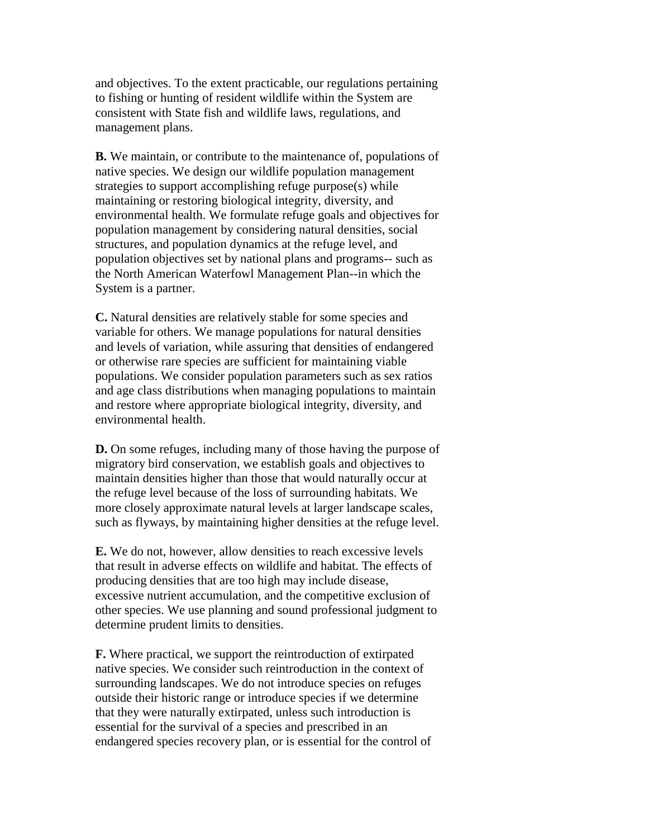and objectives. To the extent practicable, our regulations pertaining to fishing or hunting of resident wildlife within the System are consistent with State fish and wildlife laws, regulations, and management plans.

**B.** We maintain, or contribute to the maintenance of, populations of native species. We design our wildlife population management strategies to support accomplishing refuge purpose(s) while maintaining or restoring biological integrity, diversity, and environmental health. We formulate refuge goals and objectives for population management by considering natural densities, social structures, and population dynamics at the refuge level, and population objectives set by national plans and programs-- such as the North American Waterfowl Management Plan--in which the System is a partner.

**C.** Natural densities are relatively stable for some species and variable for others. We manage populations for natural densities and levels of variation, while assuring that densities of endangered or otherwise rare species are sufficient for maintaining viable populations. We consider population parameters such as sex ratios and age class distributions when managing populations to maintain and restore where appropriate biological integrity, diversity, and environmental health.

**D.** On some refuges, including many of those having the purpose of migratory bird conservation, we establish goals and objectives to maintain densities higher than those that would naturally occur at the refuge level because of the loss of surrounding habitats. We more closely approximate natural levels at larger landscape scales, such as flyways, by maintaining higher densities at the refuge level.

**E.** We do not, however, allow densities to reach excessive levels that result in adverse effects on wildlife and habitat. The effects of producing densities that are too high may include disease, excessive nutrient accumulation, and the competitive exclusion of other species. We use planning and sound professional judgment to determine prudent limits to densities.

**F.** Where practical, we support the reintroduction of extirpated native species. We consider such reintroduction in the context of surrounding landscapes. We do not introduce species on refuges outside their historic range or introduce species if we determine that they were naturally extirpated, unless such introduction is essential for the survival of a species and prescribed in an endangered species recovery plan, or is essential for the control of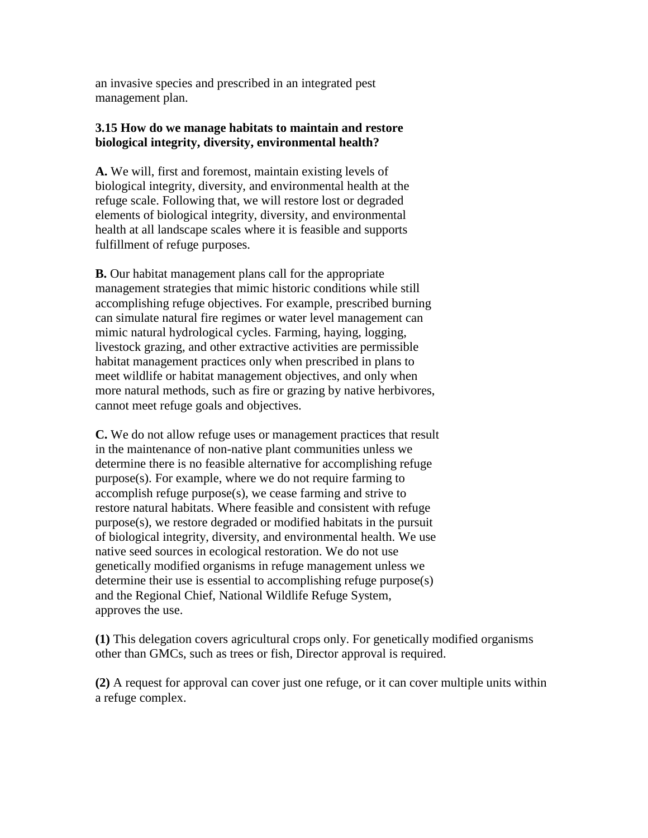an invasive species and prescribed in an integrated pest management plan.

## **3.15 How do we manage habitats to maintain and restore biological integrity, diversity, environmental health?**

**A.** We will, first and foremost, maintain existing levels of biological integrity, diversity, and environmental health at the refuge scale. Following that, we will restore lost or degraded elements of biological integrity, diversity, and environmental health at all landscape scales where it is feasible and supports fulfillment of refuge purposes.

**B.** Our habitat management plans call for the appropriate management strategies that mimic historic conditions while still accomplishing refuge objectives. For example, prescribed burning can simulate natural fire regimes or water level management can mimic natural hydrological cycles. Farming, haying, logging, livestock grazing, and other extractive activities are permissible habitat management practices only when prescribed in plans to meet wildlife or habitat management objectives, and only when more natural methods, such as fire or grazing by native herbivores, cannot meet refuge goals and objectives.

**C.** We do not allow refuge uses or management practices that result in the maintenance of non-native plant communities unless we determine there is no feasible alternative for accomplishing refuge purpose(s). For example, where we do not require farming to accomplish refuge purpose(s), we cease farming and strive to restore natural habitats. Where feasible and consistent with refuge purpose(s), we restore degraded or modified habitats in the pursuit of biological integrity, diversity, and environmental health. We use native seed sources in ecological restoration. We do not use genetically modified organisms in refuge management unless we determine their use is essential to accomplishing refuge purpose(s) and the Regional Chief, National Wildlife Refuge System, approves the use.

**(1)** This delegation covers agricultural crops only. For genetically modified organisms other than GMCs, such as trees or fish, Director approval is required.

**(2)** A request for approval can cover just one refuge, or it can cover multiple units within a refuge complex.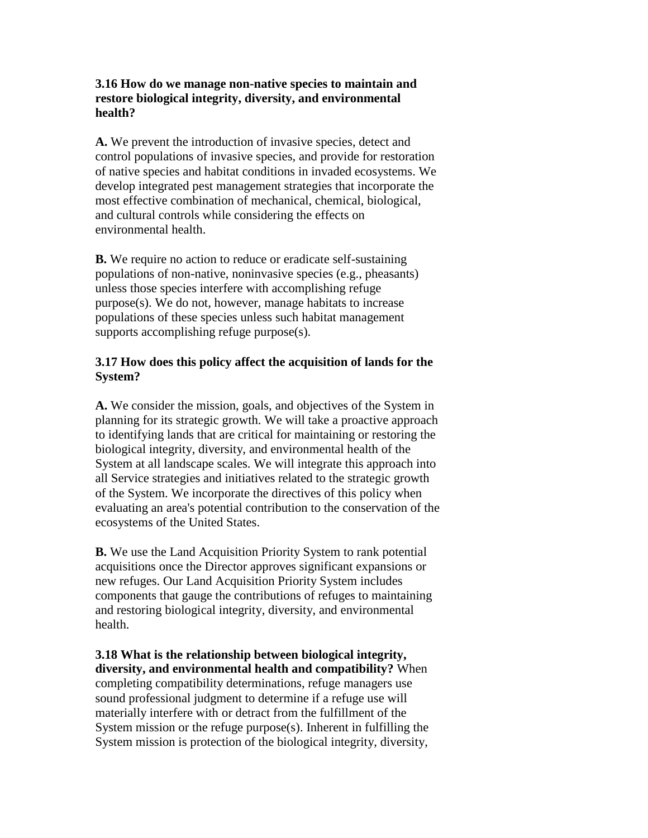## **3.16 How do we manage non-native species to maintain and restore biological integrity, diversity, and environmental health?**

**A.** We prevent the introduction of invasive species, detect and control populations of invasive species, and provide for restoration of native species and habitat conditions in invaded ecosystems. We develop integrated pest management strategies that incorporate the most effective combination of mechanical, chemical, biological, and cultural controls while considering the effects on environmental health.

**B.** We require no action to reduce or eradicate self-sustaining populations of non-native, noninvasive species (e.g., pheasants) unless those species interfere with accomplishing refuge purpose(s). We do not, however, manage habitats to increase populations of these species unless such habitat management supports accomplishing refuge purpose(s).

# **3.17 How does this policy affect the acquisition of lands for the System?**

**A.** We consider the mission, goals, and objectives of the System in planning for its strategic growth. We will take a proactive approach to identifying lands that are critical for maintaining or restoring the biological integrity, diversity, and environmental health of the System at all landscape scales. We will integrate this approach into all Service strategies and initiatives related to the strategic growth of the System. We incorporate the directives of this policy when evaluating an area's potential contribution to the conservation of the ecosystems of the United States.

**B.** We use the Land Acquisition Priority System to rank potential acquisitions once the Director approves significant expansions or new refuges. Our Land Acquisition Priority System includes components that gauge the contributions of refuges to maintaining and restoring biological integrity, diversity, and environmental health.

**3.18 What is the relationship between biological integrity, diversity, and environmental health and compatibility?** When completing compatibility determinations, refuge managers use sound professional judgment to determine if a refuge use will materially interfere with or detract from the fulfillment of the System mission or the refuge purpose(s). Inherent in fulfilling the System mission is protection of the biological integrity, diversity,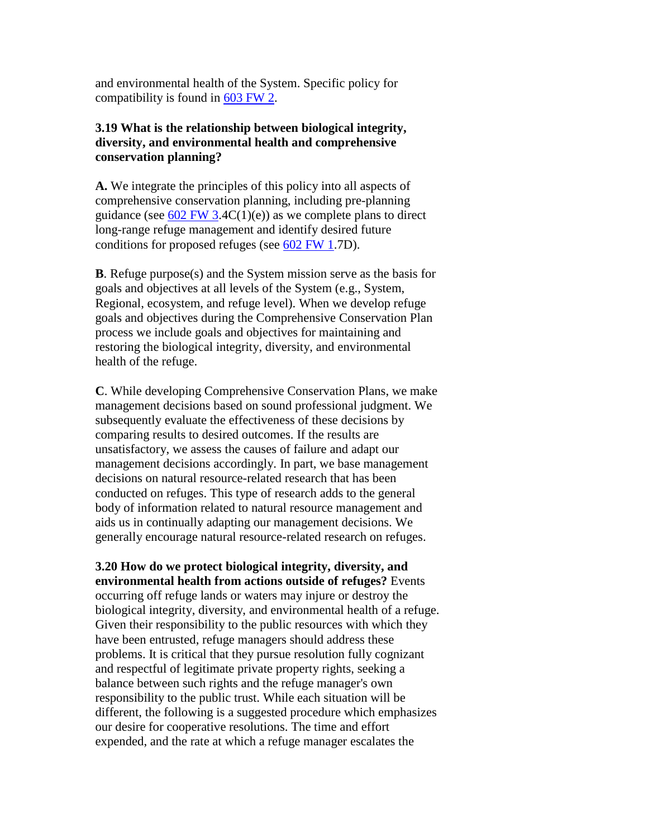and environmental health of the System. Specific policy for compatibility is found in [603 FW 2.](https://www.fws.gov/policy/603fw2.html)

## **3.19 What is the relationship between biological integrity, diversity, and environmental health and comprehensive conservation planning?**

**A.** We integrate the principles of this policy into all aspects of comprehensive conservation planning, including pre-planning guidance (see  $602$  FW 3.4C(1)(e)) as we complete plans to direct long-range refuge management and identify desired future conditions for proposed refuges (see [602 FW 1.](https://www.fws.gov/policy/602fw1.html)7D).

**B**. Refuge purpose(s) and the System mission serve as the basis for goals and objectives at all levels of the System (e.g., System, Regional, ecosystem, and refuge level). When we develop refuge goals and objectives during the Comprehensive Conservation Plan process we include goals and objectives for maintaining and restoring the biological integrity, diversity, and environmental health of the refuge.

**C**. While developing Comprehensive Conservation Plans, we make management decisions based on sound professional judgment. We subsequently evaluate the effectiveness of these decisions by comparing results to desired outcomes. If the results are unsatisfactory, we assess the causes of failure and adapt our management decisions accordingly. In part, we base management decisions on natural resource-related research that has been conducted on refuges. This type of research adds to the general body of information related to natural resource management and aids us in continually adapting our management decisions. We generally encourage natural resource-related research on refuges.

**3.20 How do we protect biological integrity, diversity, and environmental health from actions outside of refuges?** Events occurring off refuge lands or waters may injure or destroy the biological integrity, diversity, and environmental health of a refuge. Given their responsibility to the public resources with which they have been entrusted, refuge managers should address these problems. It is critical that they pursue resolution fully cognizant and respectful of legitimate private property rights, seeking a balance between such rights and the refuge manager's own responsibility to the public trust. While each situation will be different, the following is a suggested procedure which emphasizes our desire for cooperative resolutions. The time and effort expended, and the rate at which a refuge manager escalates the